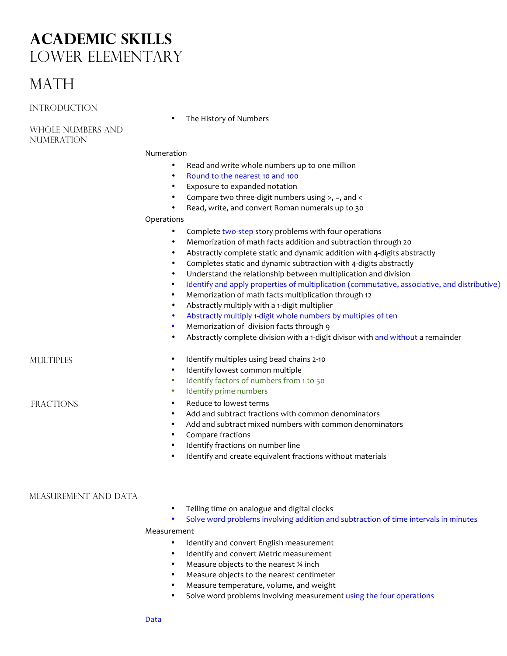# **Academic skills** Lower Elementary

# **MATH**

**INTRODUCTION** 

The History of Numbers

Whole Numbers and Numeration

## Numeration

- Read and write whole numbers up to one million
- Round to the nearest 10 and 100
- Exposure to expanded notation
- Compare two three-digit numbers using  $>$ , =, and <
- Read, write, and convert Roman numerals up to 30

#### Operations

- Complete two-step story problems with four operations
- Memorization of math facts addition and subtraction through 20
- Abstractly complete static and dynamic addition with 4-digits abstractly
- Completes static and dynamic subtraction with 4-digits abstractly
- Understand the relationship between multiplication and division
- Identify and apply properties of multiplication (commutative, associative, and distributive)
- Memorization of math facts multiplication through 12
- Abstractly multiply with a 1-digit multiplier
- Abstractly multiply 1-digit whole numbers by multiples of ten
- Memorization of division facts through 9
- Abstractly complete division with a 1-digit divisor with and without a remainder

- MULTIPLES **•** Identify multiples using bead chains 2-10
	- Identify lowest common multiple
	- Identify factors of numbers from 1 to 50
	- Identify prime numbers

# FRACTIONS • Reduce to lowest terms

- Add and subtract fractions with common denominators
- Add and subtract mixed numbers with common denominators
- Compare fractions
- Identify fractions on number line
- Identify and create equivalent fractions without materials

## MEASUREMENT AND DATA

- Telling time on analogue and digital clocks
- Solve word problems involving addition and subtraction of time intervals in minutes

#### Measurement

- Identify and convert English measurement
- Identify and convert Metric measurement
- Measure objects to the nearest  $\frac{1}{4}$  inch
- Measure objects to the nearest centimeter
- Measure temperature, volume, and weight
- Solve word problems involving measurement using the four operations